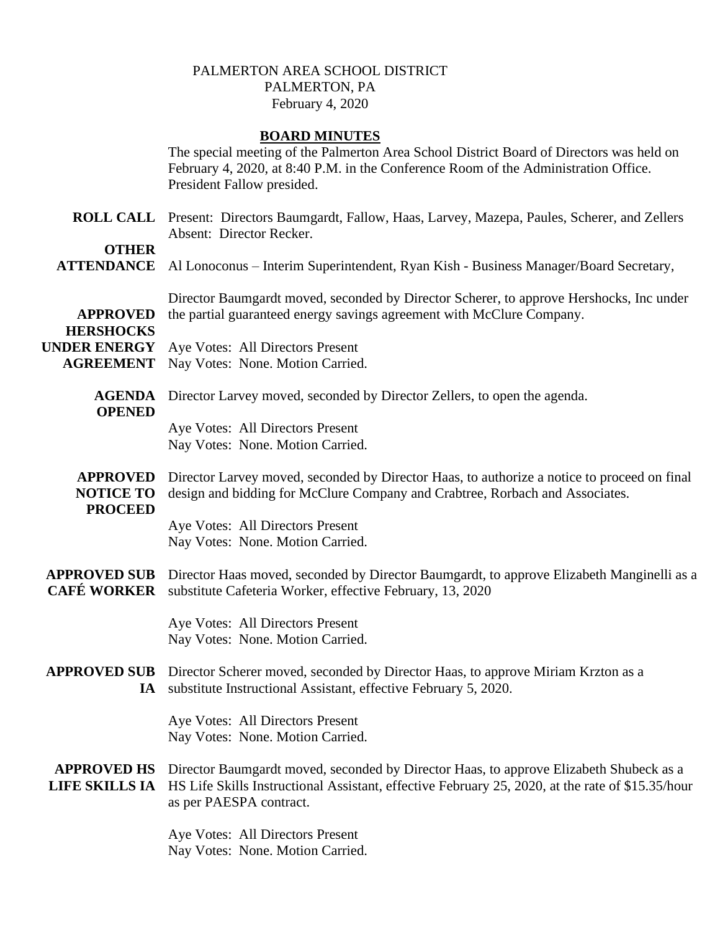## PALMERTON AREA SCHOOL DISTRICT PALMERTON, PA February 4, 2020

## **BOARD MINUTES**

|                                                       | The special meeting of the Palmerton Area School District Board of Directors was held on<br>February 4, 2020, at 8:40 P.M. in the Conference Room of the Administration Office.<br>President Fallow presided.         |
|-------------------------------------------------------|-----------------------------------------------------------------------------------------------------------------------------------------------------------------------------------------------------------------------|
|                                                       | ROLL CALL Present: Directors Baumgardt, Fallow, Haas, Larvey, Mazepa, Paules, Scherer, and Zellers<br>Absent: Director Recker.                                                                                        |
| <b>OTHER</b><br><b>ATTENDANCE</b>                     | Al Lonoconus – Interim Superintendent, Ryan Kish - Business Manager/Board Secretary,                                                                                                                                  |
| <b>APPROVED</b><br><b>HERSHOCKS</b>                   | Director Baumgardt moved, seconded by Director Scherer, to approve Hershocks, Inc under<br>the partial guaranteed energy savings agreement with McClure Company.                                                      |
| <b>UNDER ENERGY</b><br><b>AGREEMENT</b>               | Aye Votes: All Directors Present<br>Nay Votes: None. Motion Carried.                                                                                                                                                  |
| <b>AGENDA</b><br><b>OPENED</b>                        | Director Larvey moved, seconded by Director Zellers, to open the agenda.                                                                                                                                              |
|                                                       | Aye Votes: All Directors Present<br>Nay Votes: None. Motion Carried.                                                                                                                                                  |
| <b>APPROVED</b><br><b>NOTICE TO</b><br><b>PROCEED</b> | Director Larvey moved, seconded by Director Haas, to authorize a notice to proceed on final<br>design and bidding for McClure Company and Crabtree, Rorbach and Associates.                                           |
|                                                       | Aye Votes: All Directors Present<br>Nay Votes: None. Motion Carried.                                                                                                                                                  |
| <b>APPROVED SUB</b><br><b>CAFÉ WORKER</b>             | Director Haas moved, seconded by Director Baumgardt, to approve Elizabeth Manginelli as a<br>substitute Cafeteria Worker, effective February, 13, 2020                                                                |
|                                                       | Aye Votes: All Directors Present<br>Nay Votes: None. Motion Carried.                                                                                                                                                  |
|                                                       | <b>APPROVED SUB</b> Director Scherer moved, seconded by Director Haas, to approve Miriam Krzton as a<br>IA substitute Instructional Assistant, effective February 5, 2020.                                            |
|                                                       | Aye Votes: All Directors Present<br>Nay Votes: None. Motion Carried.                                                                                                                                                  |
| <b>APPROVED HS</b><br><b>LIFE SKILLS IA</b>           | Director Baumgardt moved, seconded by Director Haas, to approve Elizabeth Shubeck as a<br>HS Life Skills Instructional Assistant, effective February 25, 2020, at the rate of \$15.35/hour<br>as per PAESPA contract. |
|                                                       |                                                                                                                                                                                                                       |

Aye Votes: All Directors Present Nay Votes: None. Motion Carried.